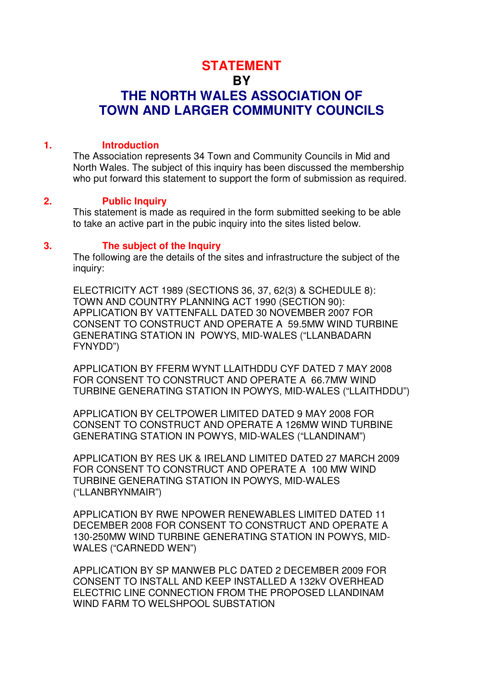# **STATEMENT BY THE NORTH WALES ASSOCIATION OF TOWN AND LARGER COMMUNITY COUNCILS**

### **1. Introduction**

The Association represents 34 Town and Community Councils in Mid and North Wales. The subject of this inquiry has been discussed the membership who put forward this statement to support the form of submission as required.

### **2. Public Inquiry**

This statement is made as required in the form submitted seeking to be able to take an active part in the pubic inquiry into the sites listed below.

### **3. The subject of the Inquiry**

The following are the details of the sites and infrastructure the subject of the inquiry:

ELECTRICITY ACT 1989 (SECTIONS 36, 37, 62(3) & SCHEDULE 8): TOWN AND COUNTRY PLANNING ACT 1990 (SECTION 90): APPLICATION BY VATTENFALL DATED 30 NOVEMBER 2007 FOR CONSENT TO CONSTRUCT AND OPERATE A 59.5MW WIND TURBINE GENERATING STATION IN POWYS, MID-WALES ("LLANBADARN FYNYDD")

APPLICATION BY FFERM WYNT LLAITHDDU CYF DATED 7 MAY 2008 FOR CONSENT TO CONSTRUCT AND OPERATE A 66.7MW WIND TURBINE GENERATING STATION IN POWYS, MID-WALES ("LLAITHDDU")

APPLICATION BY CELTPOWER LIMITED DATED 9 MAY 2008 FOR CONSENT TO CONSTRUCT AND OPERATE A 126MW WIND TURBINE GENERATING STATION IN POWYS, MID-WALES ("LLANDINAM")

APPLICATION BY RES UK & IRELAND LIMITED DATED 27 MARCH 2009 FOR CONSENT TO CONSTRUCT AND OPERATE A 100 MW WIND TURBINE GENERATING STATION IN POWYS, MID-WALES ("LLANBRYNMAIR")

APPLICATION BY RWE NPOWER RENEWABLES LIMITED DATED 11 DECEMBER 2008 FOR CONSENT TO CONSTRUCT AND OPERATE A 130-250MW WIND TURBINE GENERATING STATION IN POWYS, MID-WALES ("CARNEDD WEN")

APPLICATION BY SP MANWEB PLC DATED 2 DECEMBER 2009 FOR CONSENT TO INSTALL AND KEEP INSTALLED A 132kV OVERHEAD ELECTRIC LINE CONNECTION FROM THE PROPOSED LLANDINAM WIND FARM TO WELSHPOOL SUBSTATION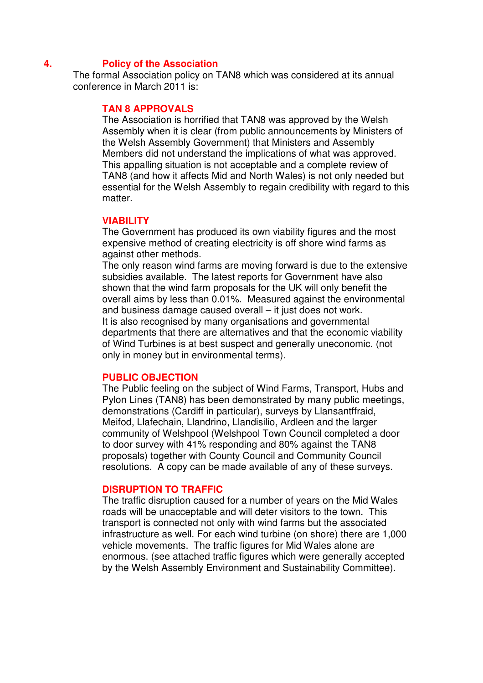### **4. Policy of the Association**

The formal Association policy on TAN8 which was considered at its annual conference in March 2011 is:

### **TAN 8 APPROVALS**

The Association is horrified that TAN8 was approved by the Welsh Assembly when it is clear (from public announcements by Ministers of the Welsh Assembly Government) that Ministers and Assembly Members did not understand the implications of what was approved. This appalling situation is not acceptable and a complete review of TAN8 (and how it affects Mid and North Wales) is not only needed but essential for the Welsh Assembly to regain credibility with regard to this matter.

### **VIABILITY**

The Government has produced its own viability figures and the most expensive method of creating electricity is off shore wind farms as against other methods.

The only reason wind farms are moving forward is due to the extensive subsidies available. The latest reports for Government have also shown that the wind farm proposals for the UK will only benefit the overall aims by less than 0.01%. Measured against the environmental and business damage caused overall – it just does not work. It is also recognised by many organisations and governmental departments that there are alternatives and that the economic viability of Wind Turbines is at best suspect and generally uneconomic. (not only in money but in environmental terms).

### **PUBLIC OBJECTION**

The Public feeling on the subject of Wind Farms, Transport, Hubs and Pylon Lines (TAN8) has been demonstrated by many public meetings, demonstrations (Cardiff in particular), surveys by Llansantffraid, Meifod, Llafechain, Llandrino, Llandisilio, Ardleen and the larger community of Welshpool (Welshpool Town Council completed a door to door survey with 41% responding and 80% against the TAN8 proposals) together with County Council and Community Council resolutions. A copy can be made available of any of these surveys.

### **DISRUPTION TO TRAFFIC**

The traffic disruption caused for a number of years on the Mid Wales roads will be unacceptable and will deter visitors to the town. This transport is connected not only with wind farms but the associated infrastructure as well. For each wind turbine (on shore) there are 1,000 vehicle movements. The traffic figures for Mid Wales alone are enormous. (see attached traffic figures which were generally accepted by the Welsh Assembly Environment and Sustainability Committee).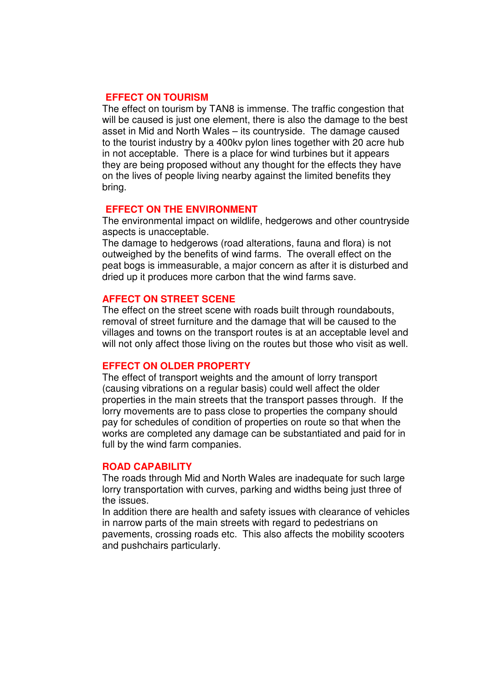# **EFFECT ON TOURISM**

The effect on tourism by TAN8 is immense. The traffic congestion that will be caused is just one element, there is also the damage to the best asset in Mid and North Wales – its countryside. The damage caused to the tourist industry by a 400kv pylon lines together with 20 acre hub in not acceptable. There is a place for wind turbines but it appears they are being proposed without any thought for the effects they have on the lives of people living nearby against the limited benefits they bring.

### **EFFECT ON THE ENVIRONMENT**

The environmental impact on wildlife, hedgerows and other countryside aspects is unacceptable.

The damage to hedgerows (road alterations, fauna and flora) is not outweighed by the benefits of wind farms. The overall effect on the peat bogs is immeasurable, a major concern as after it is disturbed and dried up it produces more carbon that the wind farms save.

### **AFFECT ON STREET SCENE**

The effect on the street scene with roads built through roundabouts, removal of street furniture and the damage that will be caused to the villages and towns on the transport routes is at an acceptable level and will not only affect those living on the routes but those who visit as well.

#### **EFFECT ON OLDER PROPERTY**

The effect of transport weights and the amount of lorry transport (causing vibrations on a regular basis) could well affect the older properties in the main streets that the transport passes through. If the lorry movements are to pass close to properties the company should pay for schedules of condition of properties on route so that when the works are completed any damage can be substantiated and paid for in full by the wind farm companies.

#### **ROAD CAPABILITY**

The roads through Mid and North Wales are inadequate for such large lorry transportation with curves, parking and widths being just three of the issues.

In addition there are health and safety issues with clearance of vehicles in narrow parts of the main streets with regard to pedestrians on pavements, crossing roads etc. This also affects the mobility scooters and pushchairs particularly.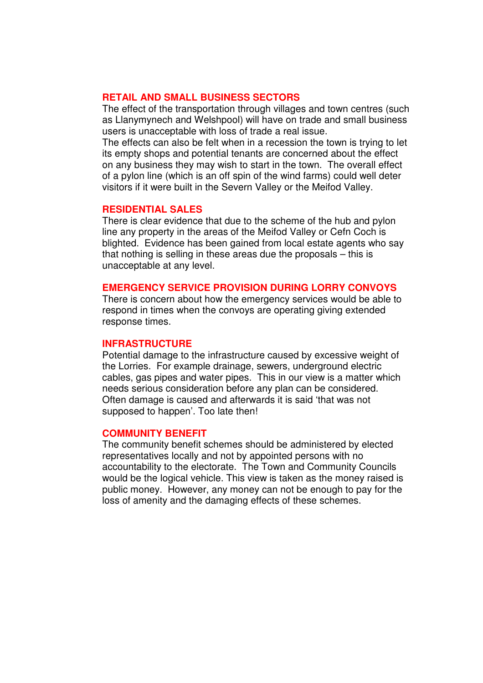### **RETAIL AND SMALL BUSINESS SECTORS**

The effect of the transportation through villages and town centres (such as Llanymynech and Welshpool) will have on trade and small business users is unacceptable with loss of trade a real issue.

The effects can also be felt when in a recession the town is trying to let its empty shops and potential tenants are concerned about the effect on any business they may wish to start in the town. The overall effect of a pylon line (which is an off spin of the wind farms) could well deter visitors if it were built in the Severn Valley or the Meifod Valley.

### **RESIDENTIAL SALES**

There is clear evidence that due to the scheme of the hub and pylon line any property in the areas of the Meifod Valley or Cefn Coch is blighted. Evidence has been gained from local estate agents who say that nothing is selling in these areas due the proposals – this is unacceptable at any level.

#### **EMERGENCY SERVICE PROVISION DURING LORRY CONVOYS**

There is concern about how the emergency services would be able to respond in times when the convoys are operating giving extended response times.

#### **INFRASTRUCTURE**

Potential damage to the infrastructure caused by excessive weight of the Lorries. For example drainage, sewers, underground electric cables, gas pipes and water pipes. This in our view is a matter which needs serious consideration before any plan can be considered. Often damage is caused and afterwards it is said 'that was not supposed to happen'. Too late then!

#### **COMMUNITY BENEFIT**

The community benefit schemes should be administered by elected representatives locally and not by appointed persons with no accountability to the electorate. The Town and Community Councils would be the logical vehicle. This view is taken as the money raised is public money. However, any money can not be enough to pay for the loss of amenity and the damaging effects of these schemes.